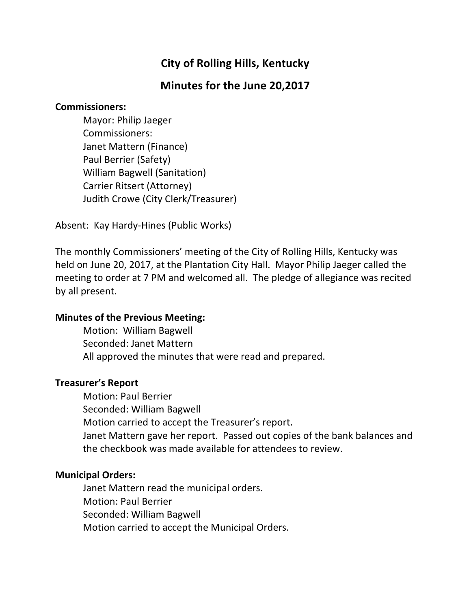# **City of Rolling Hills, Kentucky**

# **Minutes for the June 20,2017**

## **Commissioners:**

Mayor: Philip Jaeger Commissioners: Janet Mattern (Finance) Paul Berrier (Safety) William Bagwell (Sanitation) Carrier Ritsert (Attorney) Judith Crowe (City Clerk/Treasurer)

Absent: Kay Hardy-Hines (Public Works)

The monthly Commissioners' meeting of the City of Rolling Hills, Kentucky was held on June 20, 2017, at the Plantation City Hall. Mayor Philip Jaeger called the meeting to order at 7 PM and welcomed all. The pledge of allegiance was recited by all present.

# **Minutes of the Previous Meeting:**

Motion: William Bagwell Seconded: Janet Mattern All approved the minutes that were read and prepared.

# **Treasurer's Report**

Motion: Paul Berrier Seconded: William Bagwell Motion carried to accept the Treasurer's report. Janet Mattern gave her report. Passed out copies of the bank balances and the checkbook was made available for attendees to review.

# **Municipal Orders:**

Janet Mattern read the municipal orders. Motion: Paul Berrier Seconded: William Bagwell Motion carried to accept the Municipal Orders.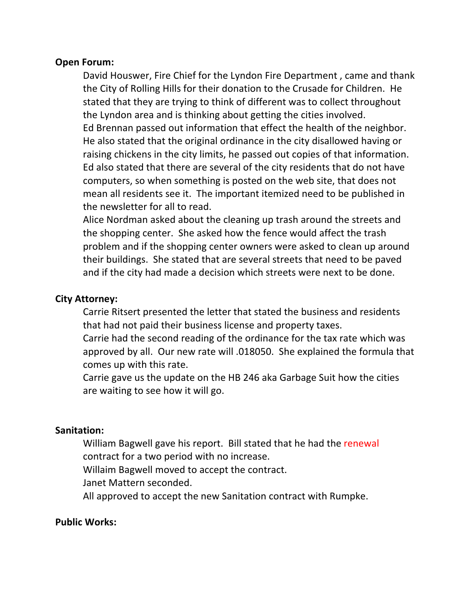## **Open Forum:**

David Houswer, Fire Chief for the Lyndon Fire Department, came and thank the City of Rolling Hills for their donation to the Crusade for Children. He stated that they are trying to think of different was to collect throughout the Lyndon area and is thinking about getting the cities involved. Ed Brennan passed out information that effect the health of the neighbor. He also stated that the original ordinance in the city disallowed having or raising chickens in the city limits, he passed out copies of that information. Ed also stated that there are several of the city residents that do not have computers, so when something is posted on the web site, that does not mean all residents see it. The important itemized need to be published in the newsletter for all to read.

Alice Nordman asked about the cleaning up trash around the streets and the shopping center. She asked how the fence would affect the trash problem and if the shopping center owners were asked to clean up around their buildings. She stated that are several streets that need to be paved and if the city had made a decision which streets were next to be done.

## **City Attorney:**

Carrie Ritsert presented the letter that stated the business and residents that had not paid their business license and property taxes.

Carrie had the second reading of the ordinance for the tax rate which was approved by all. Our new rate will .018050. She explained the formula that comes up with this rate.

Carrie gave us the update on the HB 246 aka Garbage Suit how the cities are waiting to see how it will go.

# **Sanitation:**

William Bagwell gave his report. Bill stated that he had the renewal contract for a two period with no increase.

Willaim Bagwell moved to accept the contract.

Janet Mattern seconded.

All approved to accept the new Sanitation contract with Rumpke.

## **Public Works:**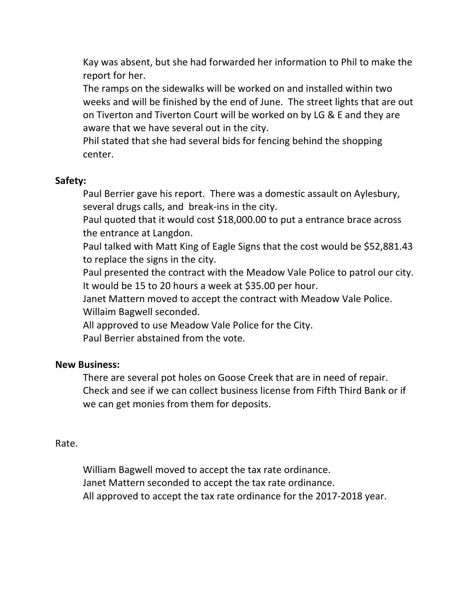Kay was absent, but she had forwarded her information to Phil to make the report for her.

The ramps on the sidewalks will be worked on and installed within two weeks and will be finished by the end of June. The street lights that are out on Tiverton and Tiverton Court will be worked on by LG & E and they are aware that we have several out in the city.

Phil stated that she had several bids for fencing behind the shopping center. 

# **Safety:**

Paul Berrier gave his report. There was a domestic assault on Aylesbury, several drugs calls, and break-ins in the city.

Paul quoted that it would cost \$18,000.00 to put a entrance brace across the entrance at Langdon.

Paul talked with Matt King of Eagle Signs that the cost would be \$52,881.43 to replace the signs in the city.

Paul presented the contract with the Meadow Vale Police to patrol our city. It would be 15 to 20 hours a week at \$35.00 per hour.

Janet Mattern moved to accept the contract with Meadow Vale Police. Willaim Bagwell seconded.

All approved to use Meadow Vale Police for the City.

Paul Berrier abstained from the vote.

## **New Business:**

There are several pot holes on Goose Creek that are in need of repair. Check and see if we can collect business license from Fifth Third Bank or if we can get monies from them for deposits.

## Rate.

William Bagwell moved to accept the tax rate ordinance. Janet Mattern seconded to accept the tax rate ordinance. All approved to accept the tax rate ordinance for the 2017-2018 year.